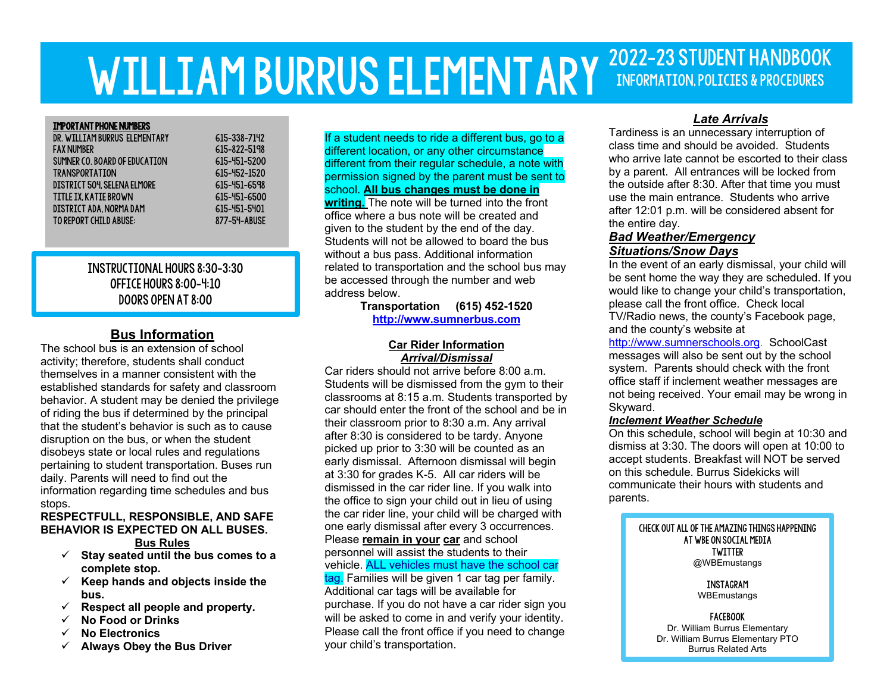# WILLIAM BURRUS ELEMENTARY 2022-23 STUDENT HANDBOOK Information, Policies & Procedures

#### Important Phone Numbers

j Ī

| DR. WILLIAM BURRUS ELEMENTARY |
|-------------------------------|
| <b>FAX NUMBER</b>             |
| SUMNER CO. BOARD OF EDUCATION |
| <b>TRANSPORTATION</b>         |
| DISTRICT 504 SELENA ELMORE    |
| TITLE IX. KATIE BROWN         |
| DISTRICT ADA. NORMA DAM       |
| <b>TO REPORT CHILD ABUSE:</b> |
|                               |

615-338-7142 615-822-5198 615-451-5200 615-452-1520 615-451-6598 615-451-6500 615-451-5401 877-54-ABUSE

# Instructional Hours 8:30-3:30 Office Hours 8:00-4:10 Doors open at 8:00

# **Bus Information**

The school bus is an extension of school activity; therefore, students shall conduct themselves in a manner consistent with the established standards for safety and classroom behavior. A student may be denied the privilege of riding the bus if determined by the principal that the student's behavior is such as to cause disruption on the bus, or when the student disobeys state or local rules and regulations pertaining to student transportation. Buses run daily. Parents will need to find out the information regarding time schedules and bus stops.

#### **RESPECTFULL, RESPONSIBLE, AND SAFE BEHAVIOR IS EXPECTED ON ALL BUSES. Bus Rules**

- ü **Stay seated until the bus comes to a complete stop.**
- ü **Keep hands and objects inside the bus.**
- $\checkmark$  Respect all people and property.
- ü **No Food or Drinks**
- ü **No Electronics**
- ü **Always Obey the Bus Driver**

If a student needs to ride a different bus, go to a different location, or any other circumstance different from their regular schedule, a note with permission signed by the parent must be sent to school. **All bus changes must be done in writing.** The note will be turned into the front office where a bus note will be created and given to the student by the end of the day. Students will not be allowed to board the bus without a bus pass. Additional information related to transportation and the school bus may be accessed through the number and web address below.

**Transportation (615) 452-1520 http://www.sumnerbus.com**

#### **Car Rider Information** *Arrival/Dismissal*

Car riders should not arrive before 8:00 a.m. Students will be dismissed from the gym to their classrooms at 8:15 a.m. Students transported by car should enter the front of the school and be in their classroom prior to 8:30 a.m. Any arrival after 8:30 is considered to be tardy. Anyone picked up prior to 3:30 will be counted as an early dismissal. Afternoon dismissal will begin at 3:30 for grades K-5. All car riders will be dismissed in the car rider line. If you walk into the office to sign your child out in lieu of using the car rider line, your child will be charged with one early dismissal after every 3 occurrences. Please **remain in your car** and school personnel will assist the students to their vehicle. ALL vehicles must have the school car tag. Families will be given 1 car tag per family. Additional car tags will be available for purchase. If you do not have a car rider sign you will be asked to come in and verify your identity. Please call the front office if you need to change your child's transportation.

# *Late Arrivals*

Tardiness is an unnecessary interruption of class time and should be avoided. Students who arrive late cannot be escorted to their class by a parent. All entrances will be locked from the outside after 8:30. After that time you must use the main entrance. Students who arrive after 12:01 p.m. will be considered absent for the entire day.

## *Bad Weather/Emergency Situations/Snow Days*

In the event of an early dismissal, your child will be sent home the way they are scheduled. If you would like to change your child's transportation, please call the front office. Check local TV/Radio news, the county's Facebook page, and the county's website at

http://www.sumnerschools.org. SchoolCast messages will also be sent out by the school system. Parents should check with the front office staff if inclement weather messages are not being received. Your email may be wrong in Skyward.

## *Inclement Weather Schedule*

On this schedule, school will begin at 10:30 and dismiss at 3:30. The doors will open at 10:00 to accept students. Breakfast will NOT be served on this schedule. Burrus Sidekicks will communicate their hours with students and parents.

#### Check out all of the amazing things happening at WBE on social media Twitter @WBEmustangs

instagram **WBEmustangs** 

facebook Dr. William Burrus Elementary Dr. William Burrus Elementary PTO Burrus Related Arts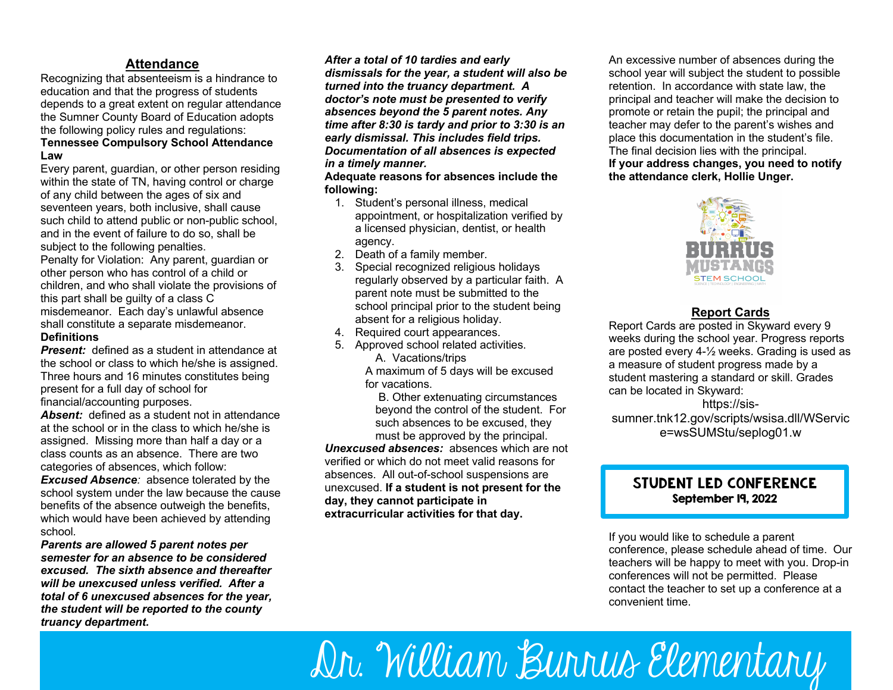# **Attendance**

Recognizing that absenteeism is a hindrance to education and that the progress of students depends to a great extent on regular attendance the Sumner County Board of Education adopts the following policy rules and regulations: **Tennessee Compulsory School Attendance Law**

Every parent, guardian, or other person residing within the state of TN, having control or charge of any child between the ages of six and seventeen years, both inclusive, shall cause such child to attend public or non-public school, and in the event of failure to do so, shall be subject to the following penalties. Penalty for Violation: Any parent, guardian or other person who has control of a child or children, and who shall violate the provisions of this part shall be guilty of a class C misdemeanor. Each day's unlawful absence shall constitute a separate misdemeanor.

#### **Definitions**

*Present:* defined as a student in attendance at the school or class to which he/she is assigned. Three hours and 16 minutes constitutes being present for a full day of school for financial/accounting purposes.

**Absent:** defined as a student not in attendance at the school or in the class to which he/she is assigned. Missing more than half a day or a class counts as an absence. There are two categories of absences, which follow:

*Excused Absence:* absence tolerated by the school system under the law because the cause benefits of the absence outweigh the benefits, which would have been achieved by attending school*.*

*Parents are allowed 5 parent notes per semester for an absence to be considered excused. The sixth absence and thereafter will be unexcused unless verified. After a total of 6 unexcused absences for the year, the student will be reported to the county truancy department.* 

*After a total of 10 tardies and early dismissals for the year, a student will also be turned into the truancy department. A doctor's note must be presented to verify absences beyond the 5 parent notes. Any time after 8:30 is tardy and prior to 3:30 is an early dismissal. This includes field trips. Documentation of all absences is expected in a timely manner.*

**Adequate reasons for absences include the following:**

- 1. Student's personal illness, medical appointment, or hospitalization verified by a licensed physician, dentist, or health agency.
- 2. Death of a family member.
- 3. Special recognized religious holidays regularly observed by a particular faith. A parent note must be submitted to the school principal prior to the student being absent for a religious holiday.
- 4. Required court appearances.
- 5. Approved school related activities.
	- A. Vacations/trips A maximum of 5 days will be excused
	- for vacations.

B. Other extenuating circumstances beyond the control of the student. For such absences to be excused, they must be approved by the principal.

*Unexcused absences:* absences which are not verified or which do not meet valid reasons for absences. All out-of-school suspensions are unexcused. **If a student is not present for the day, they cannot participate in extracurricular activities for that day.**

An excessive number of absences during the school year will subject the student to possible retention. In accordance with state law, the principal and teacher will make the decision to promote or retain the pupil; the principal and teacher may defer to the parent's wishes and place this documentation in the student's file. The final decision lies with the principal. **If your address changes, you need to notify the attendance clerk, Hollie Unger.**



# **Report Cards**

Report Cards are posted in Skyward every 9 weeks during the school year. Progress reports are posted every 4-½ weeks. Grading is used as a measure of student progress made by a student mastering a standard or skill. Grades can be located in Skyward:

https://sissumner.tnk12.gov/scripts/wsisa.dll/WServic e=wsSUMStu/seplog01.w

# Student led Conference September 19, 2022

If you would like to schedule a parent conference, please schedule ahead of time. Our teachers will be happy to meet with you. Drop-in conferences will not be permitted. Please contact the teacher to set up a conference at a convenient time.

**Homework** Dr. William Burrus Elementary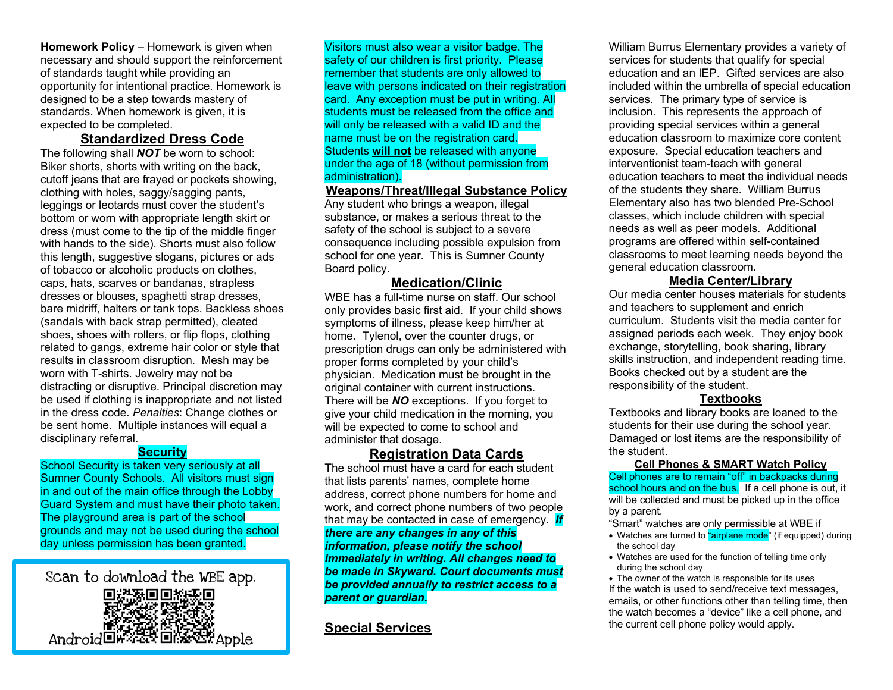**Homework Policy** – Homework is given when necessary and should support the reinforcement of standards taught while providing an opportunity for intentional practice. Homework is designed to be a step towards mastery of standards. When homework is given, it is expected to be completed.

# **Standardized Dress Code**

The following shall *NOT* be worn to school: Biker shorts, shorts with writing on the back, cutoff jeans that are frayed or pockets showing, clothing with holes, saggy/sagging pants, leggings or leotards must cover the student's bottom or worn with appropriate length skirt or dress (must come to the tip of the middle finger with hands to the side). Shorts must also follow this length, suggestive slogans, pictures or ads of tobacco or alcoholic products on clothes, caps, hats, scarves or bandanas, strapless dresses or blouses, spaghetti strap dresses, bare midriff, halters or tank tops. Backless shoes (sandals with back strap permitted), cleated shoes, shoes with rollers, or flip flops, clothing related to gangs, extreme hair color or style that results in classroom disruption. Mesh may be worn with T-shirts. Jewelry may not be distracting or disruptive. Principal discretion may be used if clothing is inappropriate and not listed in the dress code. *Penalties*: Change clothes or be sent home. Multiple instances will equal a disciplinary referral.

## **Security**

School Security is taken very seriously at all Sumner County Schools. All visitors must sign in and out of the main office through the Lobby Guard System and must have their photo taken. The playground area is part of the school grounds and may not be used during the school day unless permission has been granted.



Visitors must also wear a visitor badge. The safety of our children is first priority. Please remember that students are only allowed to leave with persons indicated on their registration card. Any exception must be put in writing. All students must be released from the office and will only be released with a valid ID and the name must be on the registration card. Students **will not** be released with anyone under the age of 18 (without permission from administration).

# **Weapons/Threat/Illegal Substance Policy**

Any student who brings a weapon, illegal substance, or makes a serious threat to the safety of the school is subject to a severe consequence including possible expulsion from school for one year. This is Sumner County Board policy.

## **Medication/Clinic**

WBE has a full-time nurse on staff. Our school only provides basic first aid. If your child shows symptoms of illness, please keep him/her at home. Tylenol, over the counter drugs, or prescription drugs can only be administered with proper forms completed by your child's physician. Medication must be brought in the original container with current instructions. There will be *NO* exceptions. If you forget to give your child medication in the morning, you will be expected to come to school and administer that dosage.

# **Registration Data Cards**

The school must have a card for each student that lists parents' names, complete home address, correct phone numbers for home and work, and correct phone numbers of two people that may be contacted in case of emergency. *If there are any changes in any of this information, please notify the school immediately in writing. All changes need to be made in Skyward. Court documents must be provided annually to restrict access to a parent or guardian.*

# **Special Services**

William Burrus Elementary provides a variety of services for students that qualify for special education and an IEP. Gifted services are also included within the umbrella of special education services. The primary type of service is inclusion. This represents the approach of providing special services within a general education classroom to maximize core content exposure. Special education teachers and interventionist team-teach with general education teachers to meet the individual needs of the students they share. William Burrus Elementary also has two blended Pre-School classes, which include children with special needs as well as peer models. Additional programs are offered within self-contained classrooms to meet learning needs beyond the general education classroom.

## **Media Center/Library**

Our media center houses materials for students and teachers to supplement and enrich curriculum. Students visit the media center for assigned periods each week. They enjoy book exchange, storytelling, book sharing, library skills instruction, and independent reading time. Books checked out by a student are the responsibility of the student.

#### **Textbooks**

Textbooks and library books are loaned to the students for their use during the school year. Damaged or lost items are the responsibility of the student.

#### **Cell Phones & SMART Watch Policy**

Cell phones are to remain "off" in backpacks during school hours and on the bus. If a cell phone is out, it will be collected and must be picked up in the office by a parent.

"Smart" watches are only permissible at WBE if

- Watches are turned to "airplane mode" (if equipped) during the school day
- Watches are used for the function of telling time only during the school day

• The owner of the watch is responsible for its uses If the watch is used to send/receive text messages, emails, or other functions other than telling time, then the watch becomes a "device" like a cell phone, and the current cell phone policy would apply.